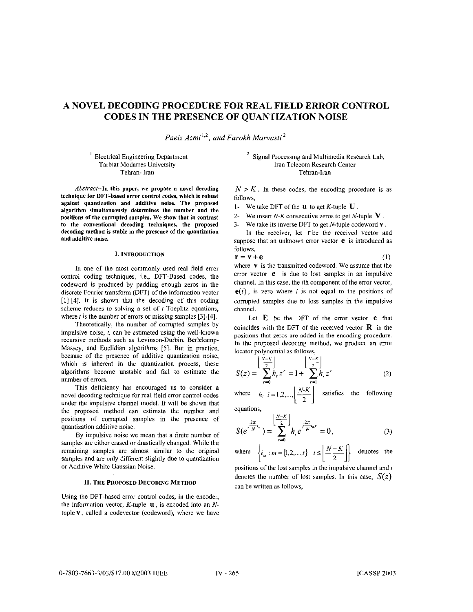# **A NOVEL DECODING PROCEDURE FOR REAL FIELD ERROR CONTROL CODES IN THE PRESENCE OF QUANTIZATION NOISE**

*Pueiz Azmi* **1,2** ~ *and Farokh Muwasti* 

 $<sup>1</sup>$  Electrical Engineering Department</sup> Tarbiat Modarres University Tehran- Iran

<sup>2</sup> Signal Processing and Multimedia Research Lab, Iran Telecom Research Center Tehran-Iran

Abstract--In this paper, we propose a novel decoding technique for DFT-based error control codes, which is robust against quantization and additive noise. The proposed algorithm simultaneously determines the number and the positions **of** the corrupted samples. **We** show that in contrast to the conventional decoding techniques, the proposed decoding method is stable in the presence **of** the quantization and additive noise.

## **1. INTRODUCTION**

In one of the most commonly used real field error control coding techniques, i.e., DFT-Based codes, the codeword is produced by padding enough zeros in the discrete Fourier transform (DFT) of the information vector [I]-[4]. It is shown that the decoding of this coding scheme reduces to solving a set of  $t$  Toeplitz equations, where  $t$  is the number of errors or missing samples [3]-[4].

Theoretically, the number of corrupted samples by impulsive noise, *t,* can be estimated using the well-known recursive methods such as Levinson-Durbin, Berlekamp-Massey, and Euclidian algorithms **[5].** But in practice, because of the presence of additive quantization noise, which is inherent in the quantization process, these algorithms become unstable and fail to estimate the number of errors.

This deficiency has encouraged us to consider a novel decoding technique for real field error control codes under the impulsive channel model. It will be shown that the proposed method can estimate the number and positions of cormpted samples in the presence of quantization additive noise.

By impulsive noise we mean that **a** finite number of samples are either erased or drastically changed. While the remaining samples are almost similar to the original samples and are only different slightly due to quantization or Additive White Gaussian Noise.

## **11. THE PROPOSED DECODING METHOD**

Using the DFT-based error control codes, in the encoder, the information vector, K-tuple **U,** is encoded into an *N*tuple v, called a codevector (codeword), where we have

 $N > K$ . In these codes, the encoding procedure is as follows,

**I-** We take DFT of the **U** to get K-tuple **U.** 

**2-** We insert N-K consecutive zeros to get N-tuple **v** .

*3-* We take its inverse DFT to get N-tuple codeword V.

In the receiver, let  $\mathbf r$  be the received vector and suppose that an unknown error vector  $e$  is introduced as follows,

$$
\mathbf{r} = \mathbf{v} + \mathbf{e} \tag{1}
$$

where **v** is the transmitted codeword. We assume that the error vector *e* is due to lost samples in an impulsive channel. In this case, the ith component of the error vector,  $e(i)$ , is zero where *i* is not equal to the positions of corrupted samples due to loss samples in the impulsive channel.

Let **E** be the DFT of the error vector **e** that coincides with the DFT of the received vector **R** in the positions that zeros are added in the encoding procedure. In the proposed decoding method, we produce an error locator polynomial as follows,

$$
S(z) = \sum_{r=0}^{\left\lfloor \frac{N-\kappa}{2} \right\rfloor} h_r z^r = 1 + \sum_{r=1}^{\left\lfloor \frac{N-\kappa}{2} \right\rfloor} h_r z^r \tag{2}
$$

where  $h_i$   $i=1,2,...,$   $\left|\frac{N-K}{2}\right|$  satisfies the following equations,

$$
S(e^{j\frac{2\pi}{N}i_m}) = \sum_{r=0}^{\left\lfloor \frac{N-K}{2} \right\rfloor} h_r e^{j\frac{2\pi}{N}i_m r} = 0, \tag{3}
$$

where  $\left\{ i_m : m = \{1,2,...,t\} \mid t \leq \left\lfloor \frac{N-K}{2} \right\rfloor \right\}$  denotes the

positions of the lost samples in the impulsive channel and *t*  denotes the number of lost samples. In this case,  $S(z)$ can be written as follows,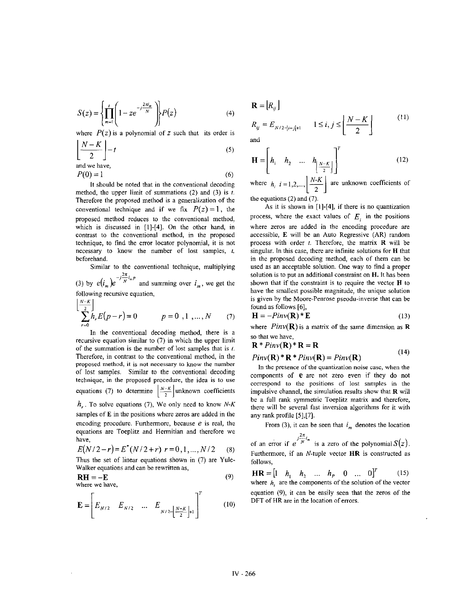$$
S(z) = \left\{ \prod_{m=1}^{I} \left( 1 - ze^{-j\frac{2\pi}{N}} \right) \right\} P(z)
$$
 (4)

where  $P(z)$  is a polynomial of *z* such that its order is

$$
\left\lfloor \frac{N-K}{2} \right\rfloor - t
$$
 (5)  
and we have,

$$
P(0) = 1 \tag{6}
$$

It should be noted that in the conventional decoding method, the upper limit of summations **(2)** and *(3)* is *f.*  Therefore the proposed method is a generalization of the conventional technique and if we fix  $P(z) = 1$ , the proposed method reduces to the conventional method, which is discussed in **[I]-[4].** On the other hand, in contrast to the conventional method, in the proposed technique, to find the error locator polynomial, it is not necessary to know the number of lost samples, **t,**  beforehand.

Similar to the conventional technique, multiplying

(3) by  $e(i_m)e^{-j\frac{2\pi}{N}i_m p}$  and summing over  $i_m$ , we get the following recursive equation,

$$
\sum_{r=0}^{\lfloor N-K \rfloor} h_r E(p-r) = 0 \qquad p = 0, 1, ..., N \qquad (7)
$$

In the conventional decoding method, there is a recursive equation similar to (7) in which the upper limit of the summation is the number of lost samples that is *f.*  Therefore, in contrast to the conventional method, in the proposed method, it is not necessary to know the number of lost samples. Similar to the conventional decoding technique, in the proposed procedure, the idea is to use equations (7) to determine  $\left\lfloor \frac{N-K}{2} \right\rfloor$  unknown coefficients *h,* . To solve equations (7), We only need to know *N-K*  samples of **E** in the positions where zeros are added in the encoding procedure. Furthermore, because *e* is real, the equations are Toeplitz and Hermitian and therefore we

$$
E(N/2-r) = E^*(N/2+r) \ r = 0,1,...,N/2 \tag{8}
$$

Thus the set of linear equations shown in (7) are Yule-Walker equations and can he rewritten as,

$$
RH = -E
$$
 (9)  
where we have,

have,

$$
\mathbf{E} = \left[ E_{N/2} \quad E_{N/2} \quad \dots \quad E_{N/2 - \left| \frac{N-K}{2} \right| + 1} \right]^T \tag{10}
$$

$$
\mathbf{R} = [R_{ij}]
$$
\n
$$
R_{ij} = E_{N/2 - |i-j| + 1} \qquad 1 \le i, j \le \left\lfloor \frac{N - K}{2} \right\rfloor \tag{11}
$$

and

$$
\mathbf{H} = \left[ h_1 \quad h_2 \quad \dots \quad h_{\left[\frac{N-K}{2}\right]} \right]'
$$
 (12)

where  $h_i$   $i = 1, 2, ..., \left| \frac{N-K}{2} \right|$  are unknown coefficients of the equations (2) and (7).

As it is shown in **[1]-[4],** if there is no quantization process, where the exact values of  $E_i$  in the positions where zeros are added in the encoding procedure are accessible, **E** will be an Auto Regressive (AR) random process with order *1.* Therefore, the matrix **R** will be singular. In this case, there are infinite solutions for **H** that in the proposed decoding method, each of them can be used as an acceptable solution. One way to find a proper solution is to put an additional constraint on **H.** It has been shown that if the constraint is to require the vector **H** to have the smallest possible magnitude, the unique solution is given by the Moore-Penrose pseodu-inverse that can be found as follows *[6],* 

$$
\mathbf{H} = -Pinv(\mathbf{R})^* \mathbf{E}
$$
 (13)

where  $Pinv(\mathbf{R})$  is a matrix of the same dimension as **R** so that we have,

$$
\mathbf{R} * Pinv(\mathbf{R}) * \mathbf{R} = \mathbf{R}
$$
\n
$$
\mathbf{R} \cdot ( \mathbf{R} ) * \mathbf{R} = ( \mathbf{R} ) \cdot ( \mathbf{R} )
$$
\n(14)

 $Pinv(\mathbf{R})$  **\***  $\mathbf{R}$  **\***  $Pinv(\mathbf{R}) = Pinv(\mathbf{R})$ 

In the presence of the quantization noise case, when the components of **e** are not zero even if they do not correspond to the positions of lost samples in the impulsive channel, the simulation results show that **R** will be a full rank symmetric Toeplitz matrix and therefore, there will he several fast inversion algorithms for it with any rank profile *[5],[7].* 

From (3), it can be seen that  $i_m$  denotes the location

of an error if  $e^{\int \frac{2\pi}{N}t_m}$  is a zero of the polynomial  $S(z)$ . Furthermore, if an N-tuple vector **HR** is constructed as follows,

 $\mathbf{H}\mathbf{R} = \begin{bmatrix} 1 & h_1 & h_2 & \dots & h_p & 0 & \dots & 0 \end{bmatrix}^T$  (15) where  $h_i$  are the components of the solution of the vector equation (9), it can be easily seen that the zeros of the DFT of HR are in the location of errors.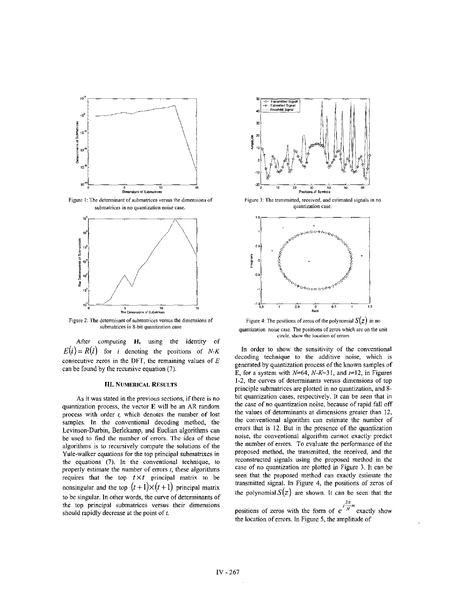

**Figure** I: The **determinant** of **submatrices versus the dimcmians of submatriccs in no quantization** noise **case.** 



**Figure 2: The determinant** of **submattices versus the dimensions of submatices in 8-bit quantization case** 

After computing **H,** using the identity of  $E(i) = R(i)$  for *i* denoting the positions of *N-K* consecutive zeros in the DFT, the remaining values of *E*  can be found by the recursive equation (7).

## **111. NUMERICAL RESULTS**

**As** it was stated in the previous sections, if there is no quantization process, the vector **E** will he an **AR** random process with order  $t$ , which denotes the number of lost samples. In the conventional decoding method, the Levinson-Durbin, Berlekamp, and Euclian algorithms can he used to find the number of errors. The idea of these algorithms is to recursively compute the solutions of the Yule-walker equations for the top principal suhmatrixes in the equations **(7).** In the conventional technique, to properly estimate the number of errors *I,* these algorithms requires that the top  $t \times t$  principal matrix to be nonsingular and the top  $(t+1)\times(t+1)$  principal matrix to be singular. In other words, the cuwe of determinants of the top principal suhmatrices versus their dimensions should rapidly decrease at the point of  $t$ .



Figure 3: The transmitted, received, and estimated signals in no **quantization case.** 



**Figure 4:** The positions of zeros of the polynomial  $S(z)$  in no **quantization noise case. The positions of zeros which** are **on the unit**   $circle, show the location of errors$ 

In order to show the sensitivity of the conventional decoding technique to the additive noise, which is generated by quantization process of the **known** samples of **E**, for a system with  $N=64$ ,  $N-K=31$ , and  $t=12$ , in Figures 1-2, the curves of determinants versus dimensions of top principle suhmatrices are plotted in no quantization, and **8**  bit quantization cases, respectively. It can be seen that in the case of no quantization noise, because of rapid fall off the values of determinants at dimensions greater than 12, the conventional algorithm can estimate the number of errors that is 12. But in the presence of the quantization noise, the conventional algorithm cannot exactly predict the number of errors. To evaluate the performance of the proposed method, the transmitted, the received, and the reconstructed signals using the proposed method in the case of no quantization are plotted in Figure 3. It can be seen that the proposed method can exactly estimate the transmitted signal. In Figure **4,** the positions of zeros of the polynomial  $S(z)$  are shown. It can be seen that the

positions of zeros with the form of  $e^{j\frac{2\pi}{N}m}$  exactly show the location of errors. In Figure **5,** the amplitude of